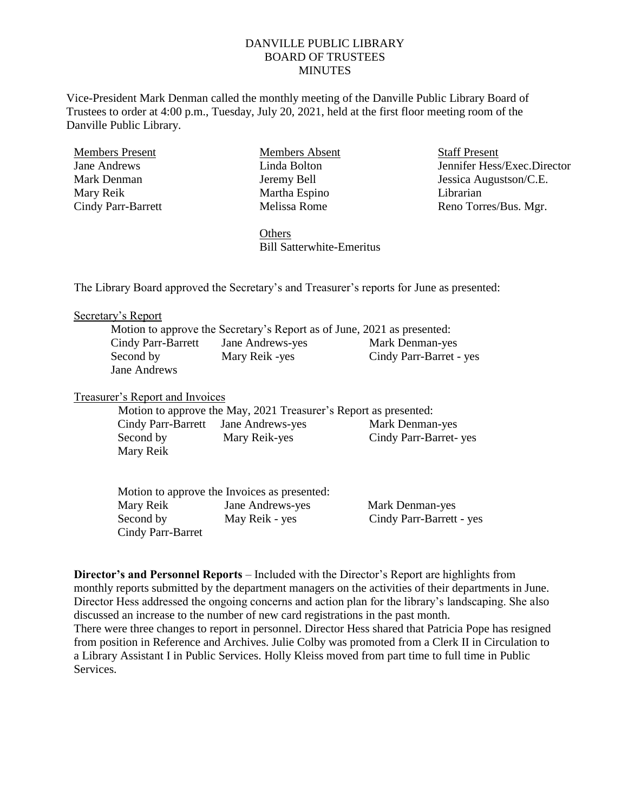## DANVILLE PUBLIC LIBRARY BOARD OF TRUSTEES **MINUTES**

Vice-President Mark Denman called the monthly meeting of the Danville Public Library Board of Trustees to order at 4:00 p.m., Tuesday, July 20, 2021, held at the first floor meeting room of the Danville Public Library.

Members Present Jane Andrews Mark Denman Mary Reik Cindy Parr-Barrett Members Absent Linda Bolton Jeremy Bell Martha Espino Melissa Rome

Staff Present Jennifer Hess/Exec.Director Jessica Augustson/C.E. Librarian Reno Torres/Bus. Mgr.

**Others** Bill Satterwhite-Emeritus

The Library Board approved the Secretary's and Treasurer's reports for June as presented:

#### Secretary's Report

|                    | Motion to approve the Secretary's Report as of June, 2021 as presented: |                         |
|--------------------|-------------------------------------------------------------------------|-------------------------|
| Cindy Parr-Barrett | Jane Andrews-yes                                                        | Mark Denman-yes         |
| Second by          | Mary Reik -yes                                                          | Cindy Parr-Barret - yes |
| Jane Andrews       |                                                                         |                         |

### Treasurer's Report and Invoices

|                                     |               | Motion to approve the May, 2021 Treasurer's Report as presented: |
|-------------------------------------|---------------|------------------------------------------------------------------|
| Cindy Parr-Barrett Jane Andrews-yes |               | Mark Denman-yes                                                  |
| Second by                           | Mary Reik-yes | Cindy Parr-Barret- yes                                           |
| Mary Reik                           |               |                                                                  |

|                   | Motion to approve the Invoices as presented: |                          |
|-------------------|----------------------------------------------|--------------------------|
| Mary Reik         | Jane Andrews-yes                             | Mark Denman-yes          |
| Second by         | May Reik - yes                               | Cindy Parr-Barrett - yes |
| Cindy Parr-Barret |                                              |                          |

**Director's and Personnel Reports** – Included with the Director's Report are highlights from monthly reports submitted by the department managers on the activities of their departments in June. Director Hess addressed the ongoing concerns and action plan for the library's landscaping. She also discussed an increase to the number of new card registrations in the past month. There were three changes to report in personnel. Director Hess shared that Patricia Pope has resigned from position in Reference and Archives. Julie Colby was promoted from a Clerk II in Circulation to a Library Assistant I in Public Services. Holly Kleiss moved from part time to full time in Public **Services**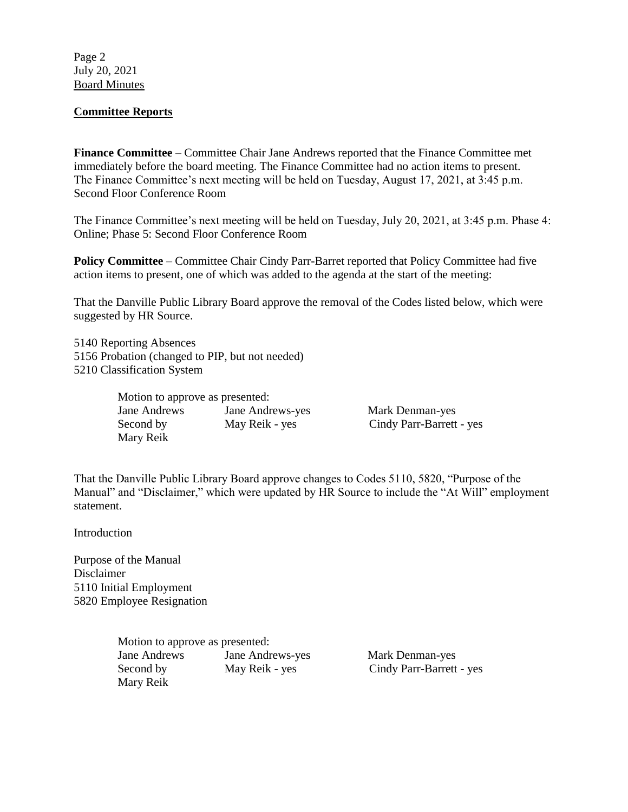Page 2 July 20, 2021 Board Minutes

## **Committee Reports**

**Finance Committee** – Committee Chair Jane Andrews reported that the Finance Committee met immediately before the board meeting. The Finance Committee had no action items to present. The Finance Committee's next meeting will be held on Tuesday, August 17, 2021, at 3:45 p.m. Second Floor Conference Room

The Finance Committee's next meeting will be held on Tuesday, July 20, 2021, at 3:45 p.m. Phase 4: Online; Phase 5: Second Floor Conference Room

**Policy Committee** – Committee Chair Cindy Parr-Barret reported that Policy Committee had five action items to present, one of which was added to the agenda at the start of the meeting:

That the Danville Public Library Board approve the removal of the Codes listed below, which were suggested by HR Source.

5140 Reporting Absences 5156 Probation (changed to PIP, but not needed) 5210 Classification System

| Motion to approve as presented: |                  |                          |
|---------------------------------|------------------|--------------------------|
| Jane Andrews                    | Jane Andrews-yes | Mark Denman-yes          |
| Second by                       | May Reik - yes   | Cindy Parr-Barrett - yes |
| Mary Reik                       |                  |                          |

That the Danville Public Library Board approve changes to Codes 5110, 5820, "Purpose of the Manual" and "Disclaimer," which were updated by HR Source to include the "At Will" employment statement.

Introduction

Purpose of the Manual Disclaimer 5110 Initial Employment 5820 Employee Resignation

> Motion to approve as presented: Jane Andrews Jane Andrews-yes Mark Denman-yes Second by May Reik - yes Cindy Parr-Barrett - yes Mary Reik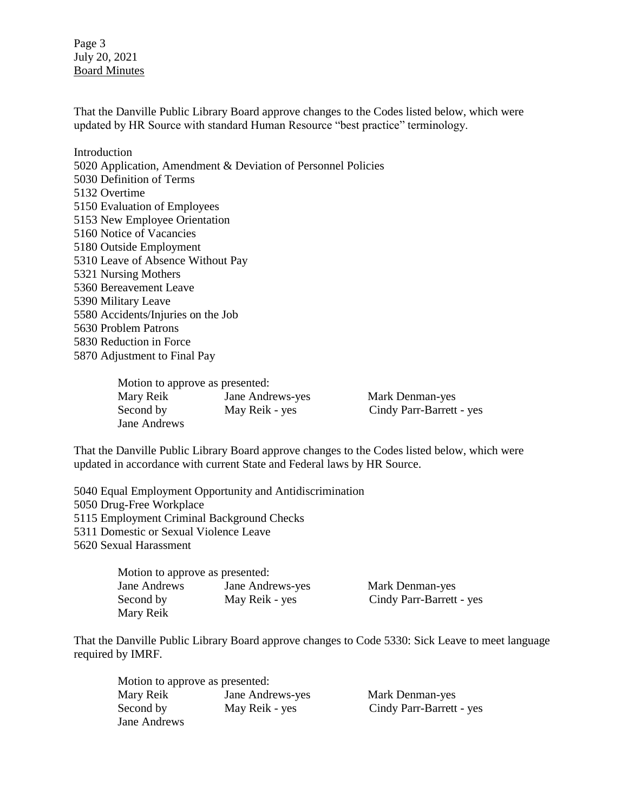Page 3 July 20, 2021 Board Minutes

That the Danville Public Library Board approve changes to the Codes listed below, which were updated by HR Source with standard Human Resource "best practice" terminology.

Introduction 5020 Application, Amendment & Deviation of Personnel Policies 5030 Definition of Terms 5132 Overtime 5150 Evaluation of Employees 5153 New Employee Orientation 5160 Notice of Vacancies 5180 Outside Employment 5310 Leave of Absence Without Pay 5321 Nursing Mothers 5360 Bereavement Leave 5390 Military Leave 5580 Accidents/Injuries on the Job 5630 Problem Patrons 5830 Reduction in Force 5870 Adjustment to Final Pay

| Motion to approve as presented: |                  |                          |
|---------------------------------|------------------|--------------------------|
| Mary Reik                       | Jane Andrews-yes | Mark Denman-yes          |
| Second by                       | May Reik - yes   | Cindy Parr-Barrett - yes |
| Jane Andrews                    |                  |                          |

That the Danville Public Library Board approve changes to the Codes listed below, which were updated in accordance with current State and Federal laws by HR Source.

5040 Equal Employment Opportunity and Antidiscrimination 5050 Drug-Free Workplace 5115 Employment Criminal Background Checks 5311 Domestic or Sexual Violence Leave 5620 Sexual Harassment

| Motion to approve as presented: |                  |                          |
|---------------------------------|------------------|--------------------------|
| Jane Andrews                    | Jane Andrews-yes | Mark Denman-yes          |
| Second by                       | May Reik - yes   | Cindy Parr-Barrett - yes |
| Mary Reik                       |                  |                          |

That the Danville Public Library Board approve changes to Code 5330: Sick Leave to meet language required by IMRF.

| Motion to approve as presented: |                  |                          |
|---------------------------------|------------------|--------------------------|
| Mary Reik                       | Jane Andrews-yes | Mark Denman-yes          |
| Second by                       | May Reik - yes   | Cindy Parr-Barrett - yes |
| Jane Andrews                    |                  |                          |